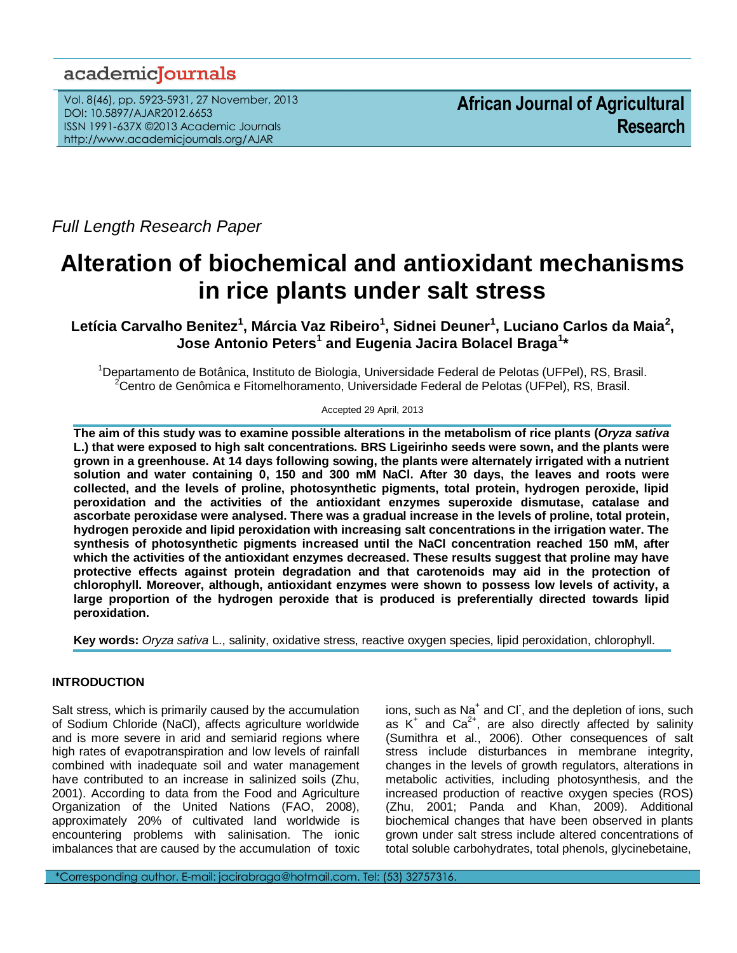## academicJournals

Vol. 8(46), pp. 5923-5931, 27 November, 2013 DOI: 10.5897/AJAR2012.6653 ISSN 1991-637X ©2013 Academic Journals http://www.academicjournals.org/AJAR

*Full Length Research Paper*

# **Alteration of biochemical and antioxidant mechanisms in rice plants under salt stress**

**Letícia Carvalho Benitez<sup>1</sup> , Márcia Vaz Ribeiro<sup>1</sup> , Sidnei Deuner<sup>1</sup> , Luciano Carlos da Maia<sup>2</sup> , Jose Antonio Peters<sup>1</sup> and Eugenia Jacira Bolacel Braga<sup>1</sup> \***

<sup>1</sup>Departamento de Botânica, Instituto de Biologia, Universidade Federal de Pelotas (UFPel), RS, Brasil. <sup>2</sup>Centro de Genômica e Fitomelhoramento, Universidade Federal de Pelotas (UFPel), RS, Brasil.

Accepted 29 April, 2013

**The aim of this study was to examine possible alterations in the metabolism of rice plants (***Oryza sativa* **L.) that were exposed to high salt concentrations. BRS Ligeirinho seeds were sown, and the plants were grown in a greenhouse. At 14 days following sowing, the plants were alternately irrigated with a nutrient solution and water containing 0, 150 and 300 mM NaCl. After 30 days, the leaves and roots were collected, and the levels of proline, photosynthetic pigments, total protein, hydrogen peroxide, lipid peroxidation and the activities of the antioxidant enzymes superoxide dismutase, catalase and ascorbate peroxidase were analysed. There was a gradual increase in the levels of proline, total protein, hydrogen peroxide and lipid peroxidation with increasing salt concentrations in the irrigation water. The synthesis of photosynthetic pigments increased until the NaCl concentration reached 150 mM, after which the activities of the antioxidant enzymes decreased. These results suggest that proline may have protective effects against protein degradation and that carotenoids may aid in the protection of chlorophyll. Moreover, although, antioxidant enzymes were shown to possess low levels of activity, a large proportion of the hydrogen peroxide that is produced is preferentially directed towards lipid peroxidation.**

**Key words:** *Oryza sativa* L., salinity, oxidative stress, reactive oxygen species, lipid peroxidation, chlorophyll.

## **INTRODUCTION**

Salt stress, which is primarily caused by the accumulation of Sodium Chloride (NaCl), affects agriculture worldwide and is more severe in arid and semiarid regions where high rates of evapotranspiration and low levels of rainfall combined with inadequate soil and water management have contributed to an increase in salinized soils (Zhu, 2001). According to data from the Food and Agriculture Organization of the United Nations (FAO, 2008), approximately 20% of cultivated land worldwide is encountering problems with salinisation. The ionic imbalances that are caused by the accumulation of toxic

ions, such as Na<sup>+</sup> and Cl<sup>-</sup>, and the depletion of ions, such as  $K^+$  and  $Ca^{2+}$ , are also directly affected by salinity (Sumithra et al., 2006). Other consequences of salt stress include disturbances in membrane integrity, changes in the levels of growth regulators, alterations in metabolic activities, including photosynthesis, and the increased production of reactive oxygen species (ROS) (Zhu, 2001; Panda and Khan, 2009). Additional biochemical changes that have been observed in plants grown under salt stress include altered concentrations of total soluble carbohydrates, total phenols, glycinebetaine,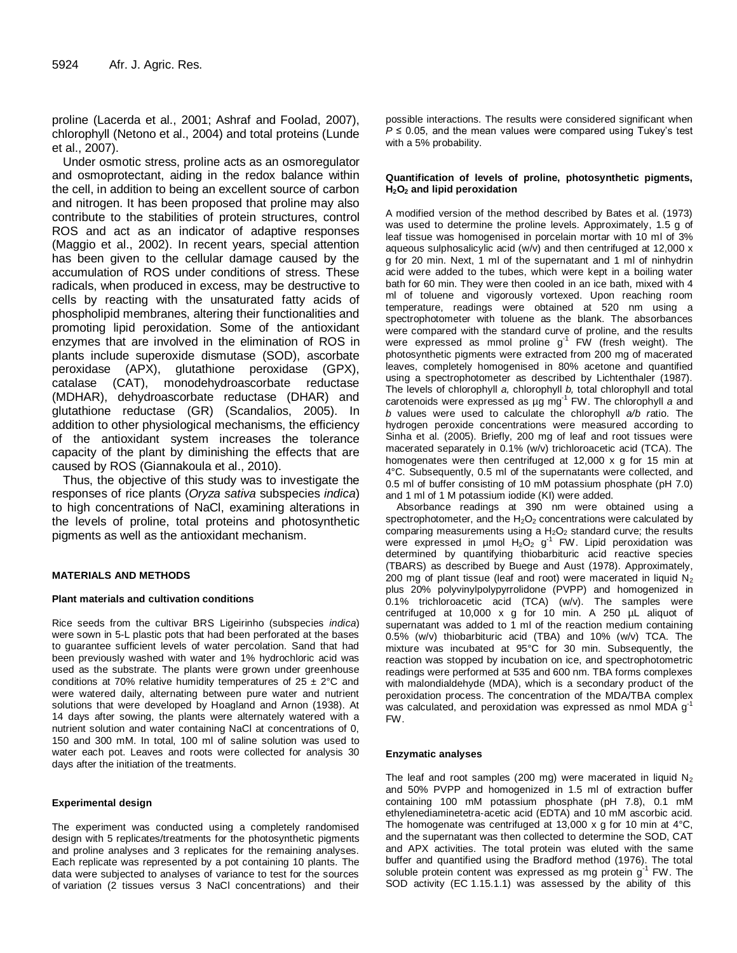proline (Lacerda et al., 2001; Ashraf and Foolad, 2007), chlorophyll (Netono et al., 2004) and total proteins (Lunde et al., 2007).

Under osmotic stress, proline acts as an osmoregulator and osmoprotectant, aiding in the redox balance within the cell, in addition to being an excellent source of carbon and nitrogen. It has been proposed that proline may also contribute to the stabilities of protein structures, control ROS and act as an indicator of adaptive responses (Maggio et al., 2002). In recent years, special attention has been given to the cellular damage caused by the accumulation of ROS under conditions of stress. These radicals, when produced in excess, may be destructive to cells by reacting with the unsaturated fatty acids of phospholipid membranes, altering their functionalities and promoting lipid peroxidation. Some of the antioxidant enzymes that are involved in the elimination of ROS in plants include superoxide dismutase (SOD), ascorbate peroxidase (APX), glutathione peroxidase (GPX), catalase (CAT), monodehydroascorbate reductase (MDHAR), dehydroascorbate reductase (DHAR) and glutathione reductase (GR) (Scandalios, 2005). In addition to other physiological mechanisms, the efficiency of the antioxidant system increases the tolerance capacity of the plant by diminishing the effects that are caused by ROS (Giannakoula et al., 2010).

Thus, the objective of this study was to investigate the responses of rice plants (*Oryza sativa* subspecies *indica*) to high concentrations of NaCl, examining alterations in the levels of proline, total proteins and photosynthetic pigments as well as the antioxidant mechanism.

## **MATERIALS AND METHODS**

## **Plant materials and cultivation conditions**

Rice seeds from the cultivar BRS Ligeirinho (subspecies *indica*) were sown in 5-L plastic pots that had been perforated at the bases to guarantee sufficient levels of water percolation. Sand that had been previously washed with water and 1% hydrochloric acid was used as the substrate. The plants were grown under greenhouse conditions at 70% relative humidity temperatures of  $25 \pm 2^{\circ}$ C and were watered daily, alternating between pure water and nutrient solutions that were developed by Hoagland and Arnon (1938). At 14 days after sowing, the plants were alternately watered with a nutrient solution and water containing NaCl at concentrations of 0, 150 and 300 mM. In total, 100 ml of saline solution was used to water each pot. Leaves and roots were collected for analysis 30 days after the initiation of the treatments.

## **Experimental design**

The experiment was conducted using a completely randomised design with 5 replicates/treatments for the photosynthetic pigments and proline analyses and 3 replicates for the remaining analyses. Each replicate was represented by a pot containing 10 plants. The data were subjected to analyses of variance to test for the sources of variation (2 tissues versus 3 NaCl concentrations) and their possible interactions. The results were considered significant when  $P \le 0.05$ , and the mean values were compared using Tukey's test with a 5% probability.

#### **Quantification of levels of proline, photosynthetic pigments, H2O<sup>2</sup> and lipid peroxidation**

A modified version of the method described by Bates et al. (1973) was used to determine the proline levels. Approximately, 1.5 g of leaf tissue was homogenised in porcelain mortar with 10 ml of 3% aqueous sulphosalicylic acid (w/v) and then centrifuged at 12,000 x g for 20 min. Next, 1 ml of the supernatant and 1 ml of ninhydrin acid were added to the tubes, which were kept in a boiling water bath for 60 min. They were then cooled in an ice bath, mixed with 4 ml of toluene and vigorously vortexed. Upon reaching room temperature, readings were obtained at 520 nm using a spectrophotometer with toluene as the blank. The absorbances were compared with the standard curve of proline, and the results were expressed as mmol proline  $g^{-1}$  FW (fresh weight). The photosynthetic pigments were extracted from 200 mg of macerated leaves, completely homogenised in 80% acetone and quantified using a spectrophotometer as described by Lichtenthaler (1987). The levels of chlorophyll *a,* chlorophyll *b,* total chlorophyll and total carotenoids were expressed as µg mg-1 FW. The chlorophyll *a* and *b* values were used to calculate the chlorophyll *a/b r*atio. The hydrogen peroxide concentrations were measured according to Sinha et al. (2005). Briefly, 200 mg of leaf and root tissues were macerated separately in 0.1% (w/v) trichloroacetic acid (TCA). The homogenates were then centrifuged at 12,000 x g for 15 min at 4°C. Subsequently, 0.5 ml of the supernatants were collected, and 0.5 ml of buffer consisting of 10 mM potassium phosphate (pH 7.0) and 1 ml of 1 M potassium iodide (KI) were added.

Absorbance readings at 390 nm were obtained using a spectrophotometer, and the  $H_2O_2$  concentrations were calculated by comparing measurements using a  $H_2O_2$  standard curve; the results were expressed in umol  $H_2O_2$  g<sup>-1</sup> FW. Lipid peroxidation was determined by quantifying thiobarbituric acid reactive species (TBARS) as described by Buege and Aust (1978). Approximately, 200 mg of plant tissue (leaf and root) were macerated in liquid  $N_2$ plus 20% polyvinylpolypyrrolidone (PVPP) and homogenized in 0.1% trichloroacetic acid (TCA) (w/v). The samples were centrifuged at 10,000 x g for 10 min. A 250 µL aliquot of supernatant was added to 1 ml of the reaction medium containing 0.5% (w/v) thiobarbituric acid (TBA) and 10% (w/v) TCA. The mixture was incubated at 95°C for 30 min. Subsequently, the reaction was stopped by incubation on ice, and spectrophotometric readings were performed at 535 and 600 nm. TBA forms complexes with malondialdehyde (MDA), which is a secondary product of the peroxidation process. The concentration of the MDA/TBA complex was calculated, and peroxidation was expressed as nmol MDA  $g^1$ FW.

#### **Enzymatic analyses**

The leaf and root samples (200 mg) were macerated in liquid  $N_2$ and 50% PVPP and homogenized in 1.5 ml of extraction buffer containing 100 mM potassium phosphate (pH 7.8), 0.1 mM ethylenediaminetetra-acetic acid (EDTA) and 10 mM ascorbic acid. The homogenate was centrifuged at 13,000 x g for 10 min at 4°C, and the supernatant was then collected to determine the SOD, CAT and APX activities. The total protein was eluted with the same buffer and quantified using the Bradford method (1976). The total soluble protein content was expressed as mg protein g<sup>-1</sup> FW. The SOD activity (EC 1.15.1.1) was assessed by the ability of this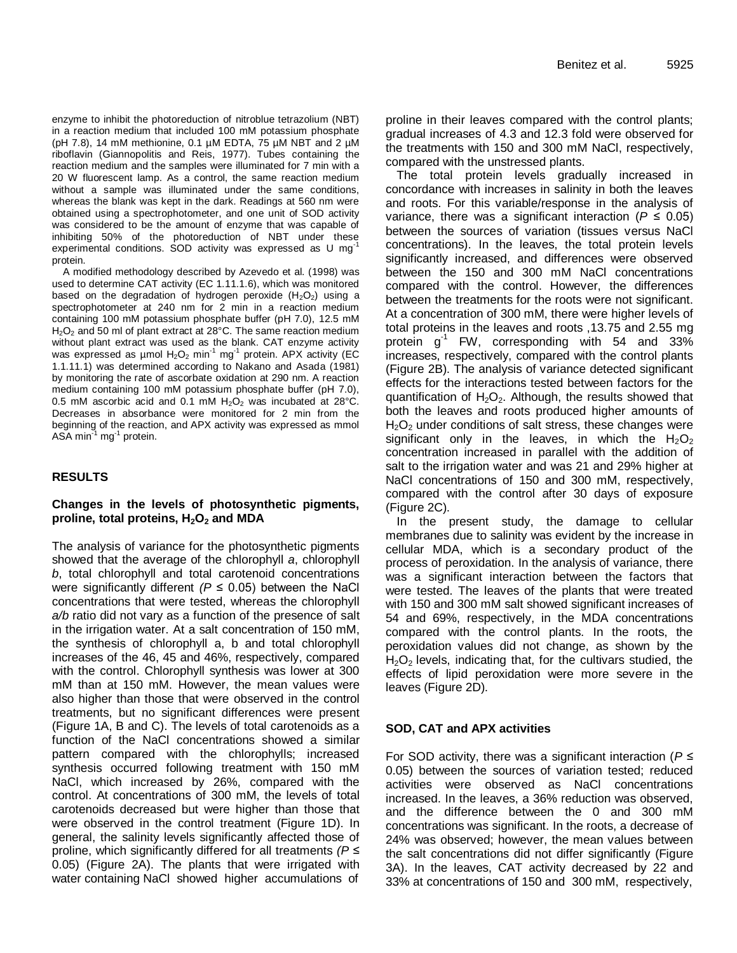enzyme to inhibit the photoreduction of nitroblue tetrazolium (NBT) in a reaction medium that included 100 mM potassium phosphate (pH 7.8), 14 mM methionine, 0.1 µM EDTA, 75 µM NBT and 2 µM riboflavin (Giannopolitis and Reis, 1977). Tubes containing the reaction medium and the samples were illuminated for 7 min with a 20 W fluorescent lamp. As a control, the same reaction medium without a sample was illuminated under the same conditions, whereas the blank was kept in the dark. Readings at 560 nm were obtained using a spectrophotometer, and one unit of SOD activity was considered to be the amount of enzyme that was capable of inhibiting 50% of the photoreduction of NBT under these experimental conditions. SOD activity was expressed as U mg<sup>-1</sup> protein.

A modified methodology described by Azevedo et al. (1998) was used to determine CAT activity (EC 1.11.1.6), which was monitored based on the degradation of hydrogen peroxide  $(H_2O_2)$  using a spectrophotometer at 240 nm for 2 min in a reaction medium containing 100 mM potassium phosphate buffer (pH 7.0), 12.5 mM  $H<sub>2</sub>O<sub>2</sub>$  and 50 ml of plant extract at 28°C. The same reaction medium without plant extract was used as the blank. CAT enzyme activity was expressed as µmol  $H_2O_2$  min<sup>-1</sup> mg<sup>-1</sup> protein. APX activity (EC 1.1.11.1) was determined according to Nakano and Asada (1981) by monitoring the rate of ascorbate oxidation at 290 nm. A reaction medium containing 100 mM potassium phosphate buffer (pH 7.0), 0.5 mM ascorbic acid and 0.1 mM  $H_2O_2$  was incubated at 28°C. Decreases in absorbance were monitored for 2 min from the beginning of the reaction, and APX activity was expressed as mmol ASA min<sup>-1</sup> mg<sup>-1</sup> protein.

## **RESULTS**

## **Changes in the levels of photosynthetic pigments, proline, total proteins, H2O<sup>2</sup> and MDA**

The analysis of variance for the photosynthetic pigments showed that the average of the chlorophyll *a*, chlorophyll *b*, total chlorophyll and total carotenoid concentrations were significantly different  $(P \le 0.05)$  between the NaCl concentrations that were tested, whereas the chlorophyll *a/b* ratio did not vary as a function of the presence of salt in the irrigation water. At a salt concentration of 150 mM, the synthesis of chlorophyll a, b and total chlorophyll increases of the 46, 45 and 46%, respectively, compared with the control. Chlorophyll synthesis was lower at 300 mM than at 150 mM. However, the mean values were also higher than those that were observed in the control treatments, but no significant differences were present (Figure 1A, B and C). The levels of total carotenoids as a function of the NaCl concentrations showed a similar pattern compared with the chlorophylls; increased synthesis occurred following treatment with 150 mM NaCl, which increased by 26%, compared with the control. At concentrations of 300 mM, the levels of total carotenoids decreased but were higher than those that were observed in the control treatment (Figure 1D). In general, the salinity levels significantly affected those of proline, which significantly differed for all treatments *(P* ≤ 0.05) (Figure 2A). The plants that were irrigated with water containing NaCl showed higher accumulations of proline in their leaves compared with the control plants; gradual increases of 4.3 and 12.3 fold were observed for the treatments with 150 and 300 mM NaCl, respectively, compared with the unstressed plants.

The total protein levels gradually increased in concordance with increases in salinity in both the leaves and roots. For this variable/response in the analysis of variance, there was a significant interaction ( $P \le 0.05$ ) between the sources of variation (tissues versus NaCl concentrations). In the leaves, the total protein levels significantly increased, and differences were observed between the 150 and 300 mM NaCl concentrations compared with the control. However, the differences between the treatments for the roots were not significant. At a concentration of 300 mM, there were higher levels of total proteins in the leaves and roots ,13.75 and 2.55 mg protein g-1 FW, corresponding with 54 and 33% increases, respectively, compared with the control plants (Figure 2B). The analysis of variance detected significant effects for the interactions tested between factors for the quantification of  $H_2O_2$ . Although, the results showed that both the leaves and roots produced higher amounts of  $H<sub>2</sub>O<sub>2</sub>$  under conditions of salt stress, these changes were significant only in the leaves, in which the  $H_2O_2$ concentration increased in parallel with the addition of salt to the irrigation water and was 21 and 29% higher at NaCl concentrations of 150 and 300 mM, respectively, compared with the control after 30 days of exposure (Figure 2C).

In the present study, the damage to cellular membranes due to salinity was evident by the increase in cellular MDA, which is a secondary product of the process of peroxidation. In the analysis of variance, there was a significant interaction between the factors that were tested. The leaves of the plants that were treated with 150 and 300 mM salt showed significant increases of 54 and 69%, respectively, in the MDA concentrations compared with the control plants. In the roots, the peroxidation values did not change, as shown by the  $H<sub>2</sub>O<sub>2</sub>$  levels, indicating that, for the cultivars studied, the effects of lipid peroxidation were more severe in the leaves (Figure 2D).

## **SOD, CAT and APX activities**

For SOD activity, there was a significant interaction (*P* ≤ 0.05) between the sources of variation tested; reduced activities were observed as NaCl concentrations increased. In the leaves, a 36% reduction was observed, and the difference between the 0 and 300 mM concentrations was significant. In the roots, a decrease of 24% was observed; however, the mean values between the salt concentrations did not differ significantly (Figure 3A). In the leaves, CAT activity decreased by 22 and 33% at concentrations of 150 and 300 mM, respectively,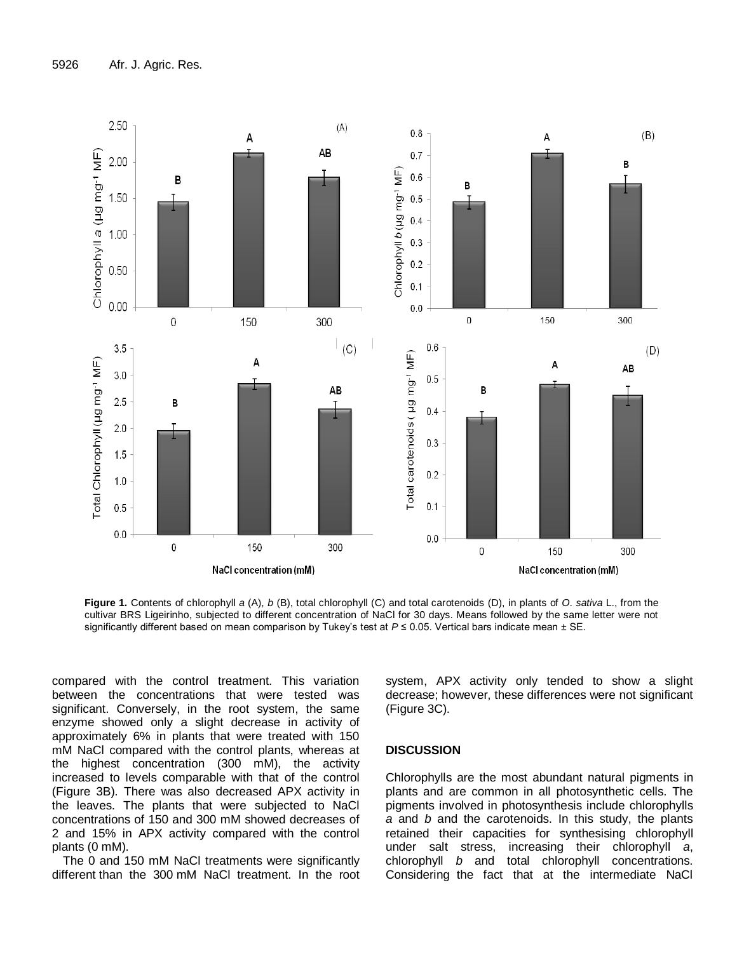

**Figure 1.** Contents of chlorophyll *a* (A), *b* (B), total chlorophyll (C) and total carotenoids (D), in plants of *O*. *sativa* L., from the cultivar BRS Ligeirinho, subjected to different concentration of NaCl for 30 days. Means followed by the same letter were not significantly different based on mean comparison by Tukey's test at *P* ≤ 0.05. Vertical bars indicate mean ± SE.

compared with the control treatment. This variation between the concentrations that were tested was significant. Conversely, in the root system, the same enzyme showed only a slight decrease in activity of approximately 6% in plants that were treated with 150 mM NaCl compared with the control plants, whereas at the highest concentration (300 mM), the activity increased to levels comparable with that of the control (Figure 3B). There was also decreased APX activity in the leaves. The plants that were subjected to NaCl concentrations of 150 and 300 mM showed decreases of 2 and 15% in APX activity compared with the control plants (0 mM).

The 0 and 150 mM NaCl treatments were significantly different than the 300 mM NaCl treatment. In the root system, APX activity only tended to show a slight decrease; however, these differences were not significant (Figure 3C).

## **DISCUSSION**

Chlorophylls are the most abundant natural pigments in plants and are common in all photosynthetic cells. The pigments involved in photosynthesis include chlorophylls *a* and *b* and the carotenoids. In this study, the plants retained their capacities for synthesising chlorophyll under salt stress, increasing their chlorophyll *a*, chlorophyll *b* and total chlorophyll concentrations. Considering the fact that at the intermediate NaCl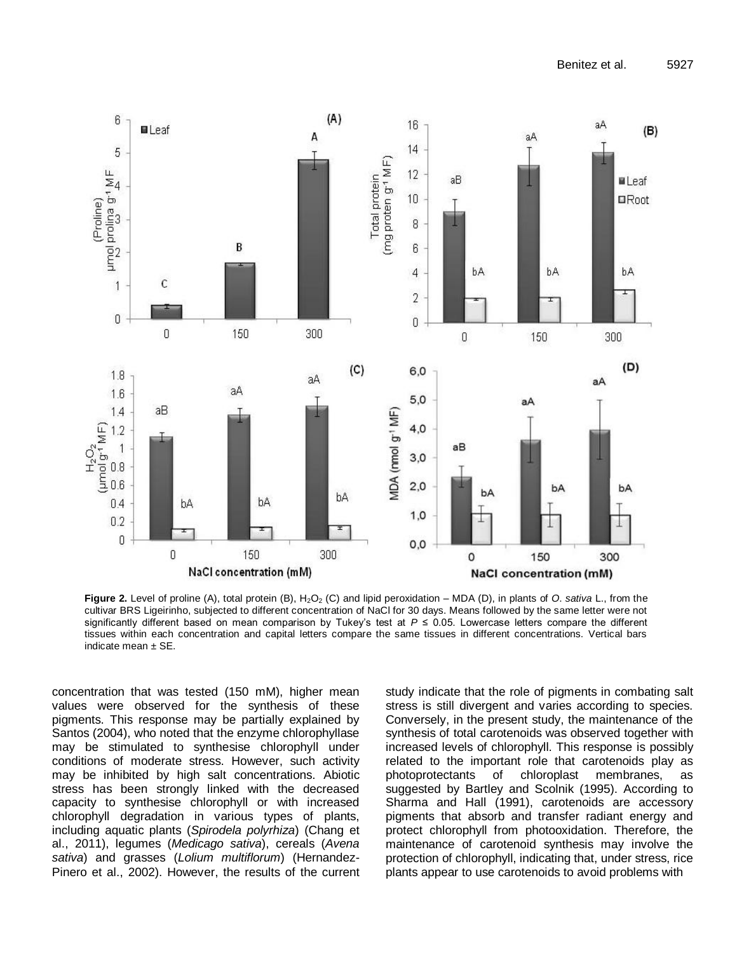

**Figure 2.** Level of proline (A), total protein (B), H<sub>2</sub>O<sub>2</sub> (C) and lipid peroxidation – MDA (D), in plants of *O. sativa* L., from the cultivar BRS Ligeirinho, subjected to different concentration of NaCl for 30 days. Means followed by the same letter were not significantly different based on mean comparison by Tukey's test at *P* ≤ 0.05. Lowercase letters compare the different tissues within each concentration and capital letters compare the same tissues in different concentrations. Vertical bars indicate mean  $\pm$  SE.

concentration that was tested (150 mM), higher mean values were observed for the synthesis of these pigments. This response may be partially explained by Santos (2004), who noted that the enzyme chlorophyllase may be stimulated to synthesise chlorophyll under conditions of moderate stress. However, such activity may be inhibited by high salt concentrations. Abiotic stress has been strongly linked with the decreased capacity to synthesise chlorophyll or with increased chlorophyll degradation in various types of plants, including aquatic plants (*Spirodela polyrhiza*) (Chang et al., 2011), legumes (*Medicago sativa*), cereals (*Avena sativa*) and grasses (*Lolium multiflorum*) (Hernandez-Pinero et al., 2002). However, the results of the current study indicate that the role of pigments in combating salt stress is still divergent and varies according to species. Conversely, in the present study, the maintenance of the synthesis of total carotenoids was observed together with increased levels of chlorophyll. This response is possibly related to the important role that carotenoids play as photoprotectants of chloroplast membranes, as suggested by Bartley and Scolnik (1995). According to Sharma and Hall (1991), carotenoids are accessory pigments that absorb and transfer radiant energy and protect chlorophyll from photooxidation. Therefore, the maintenance of carotenoid synthesis may involve the protection of chlorophyll, indicating that, under stress, rice plants appear to use carotenoids to avoid problems with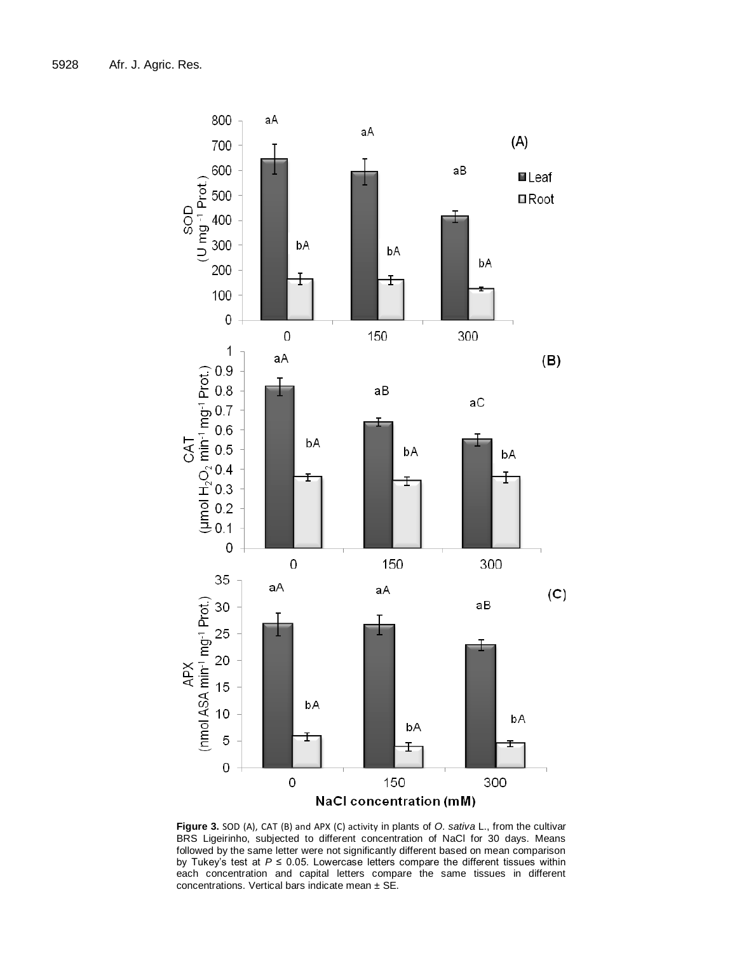

**Figure 3.** SOD (A), CAT (B) and APX (C) activity in plants of *O*. *sativa* L., from the cultivar BRS Ligeirinho, subjected to different concentration of NaCl for 30 days. Means followed by the same letter were not significantly different based on mean comparison by Tukey's test at *P* ≤ 0.05. Lowercase letters compare the different tissues within each concentration and capital letters compare the same tissues in different concentrations. Vertical bars indicate mean  $\pm$  SE.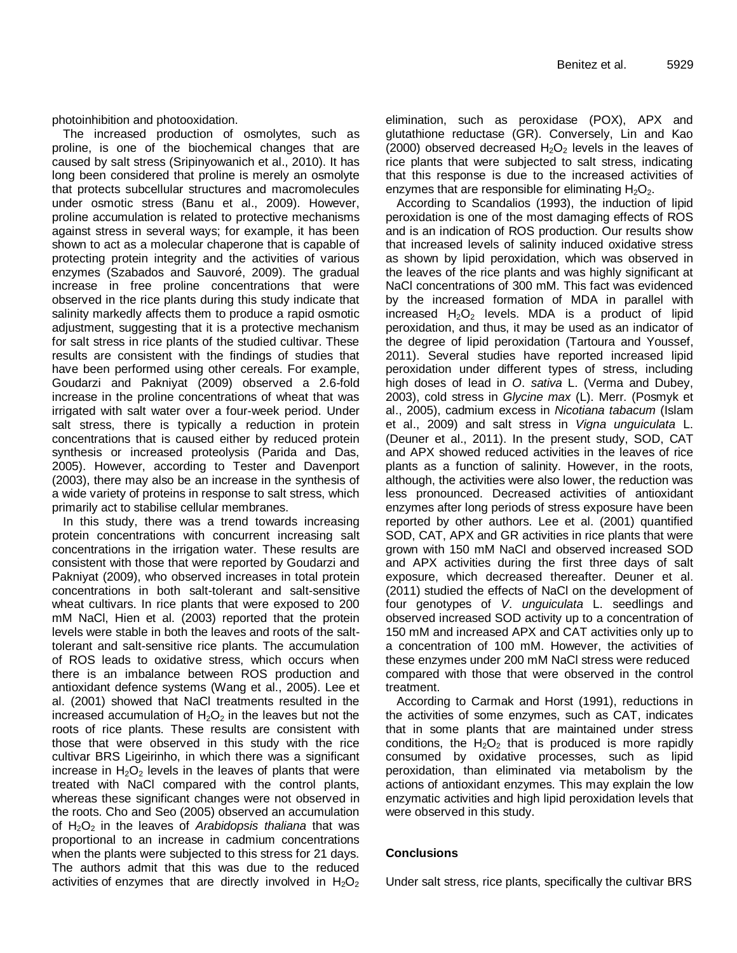photoinhibition and photooxidation.

The increased production of osmolytes, such as proline, is one of the biochemical changes that are caused by salt stress (Sripinyowanich et al., 2010). It has long been considered that proline is merely an osmolyte that protects subcellular structures and macromolecules under osmotic stress (Banu et al., 2009). However, proline accumulation is related to protective mechanisms against stress in several ways; for example, it has been shown to act as a molecular chaperone that is capable of protecting protein integrity and the activities of various enzymes (Szabados and Sauvoré, 2009). The gradual increase in free proline concentrations that were observed in the rice plants during this study indicate that salinity markedly affects them to produce a rapid osmotic adjustment, suggesting that it is a protective mechanism for salt stress in rice plants of the studied cultivar. These results are consistent with the findings of studies that have been performed using other cereals. For example, Goudarzi and Pakniyat (2009) observed a 2.6-fold increase in the proline concentrations of wheat that was irrigated with salt water over a four-week period. Under salt stress, there is typically a reduction in protein concentrations that is caused either by reduced protein synthesis or increased proteolysis (Parida and Das, 2005). However, according to Tester and Davenport (2003), there may also be an increase in the synthesis of a wide variety of proteins in response to salt stress, which primarily act to stabilise cellular membranes.

In this study, there was a trend towards increasing protein concentrations with concurrent increasing salt concentrations in the irrigation water. These results are consistent with those that were reported by Goudarzi and Pakniyat (2009), who observed increases in total protein concentrations in both salt-tolerant and salt-sensitive wheat cultivars. In rice plants that were exposed to 200 mM NaCl, Hien et al. (2003) reported that the protein levels were stable in both the leaves and roots of the salttolerant and salt-sensitive rice plants. The accumulation of ROS leads to oxidative stress, which occurs when there is an imbalance between ROS production and antioxidant defence systems (Wang et al., 2005). Lee et al. (2001) showed that NaCl treatments resulted in the increased accumulation of  $H_2O_2$  in the leaves but not the roots of rice plants. These results are consistent with those that were observed in this study with the rice cultivar BRS Ligeirinho, in which there was a significant increase in  $H_2O_2$  levels in the leaves of plants that were treated with NaCl compared with the control plants, whereas these significant changes were not observed in the roots. Cho and Seo (2005) observed an accumulation of H2O<sup>2</sup> in the leaves of *Arabidopsis thaliana* that was proportional to an increase in cadmium concentrations when the plants were subjected to this stress for 21 days. The authors admit that this was due to the reduced activities of enzymes that are directly involved in  $H_2O_2$  elimination, such as peroxidase (POX), APX and glutathione reductase (GR). Conversely, Lin and Kao (2000) observed decreased  $H_2O_2$  levels in the leaves of rice plants that were subjected to salt stress, indicating that this response is due to the increased activities of enzymes that are responsible for eliminating  $H_2O_2$ .

According to Scandalios (1993), the induction of lipid peroxidation is one of the most damaging effects of ROS and is an indication of ROS production. Our results show that increased levels of salinity induced oxidative stress as shown by lipid peroxidation, which was observed in the leaves of the rice plants and was highly significant at NaCl concentrations of 300 mM. This fact was evidenced by the increased formation of MDA in parallel with increased  $H_2O_2$  levels. MDA is a product of lipid peroxidation, and thus, it may be used as an indicator of the degree of lipid peroxidation (Tartoura and Youssef, 2011). Several studies have reported increased lipid peroxidation under different types of stress, including high doses of lead in *O*. *sativa* L. (Verma and Dubey, 2003), cold stress in *Glycine max* (L). Merr. (Posmyk et al., 2005), cadmium excess in *Nicotiana tabacum* (Islam et al., 2009) and salt stress in *Vigna unguiculata* L. (Deuner et al., 2011). In the present study, SOD, CAT and APX showed reduced activities in the leaves of rice plants as a function of salinity. However, in the roots, although, the activities were also lower, the reduction was less pronounced. Decreased activities of antioxidant enzymes after long periods of stress exposure have been reported by other authors. Lee et al. (2001) quantified SOD, CAT, APX and GR activities in rice plants that were grown with 150 mM NaCl and observed increased SOD and APX activities during the first three days of salt exposure, which decreased thereafter. Deuner et al. (2011) studied the effects of NaCl on the development of four genotypes of *V*. *unguiculata* L. seedlings and observed increased SOD activity up to a concentration of 150 mM and increased APX and CAT activities only up to a concentration of 100 mM. However, the activities of these enzymes under 200 mM NaCl stress were reduced compared with those that were observed in the control treatment.

According to Carmak and Horst (1991), reductions in the activities of some enzymes, such as CAT, indicates that in some plants that are maintained under stress conditions, the  $H_2O_2$  that is produced is more rapidly consumed by oxidative processes, such as lipid peroxidation, than eliminated via metabolism by the actions of antioxidant enzymes. This may explain the low enzymatic activities and high lipid peroxidation levels that were observed in this study.

## **Conclusions**

Under salt stress, rice plants, specifically the cultivar BRS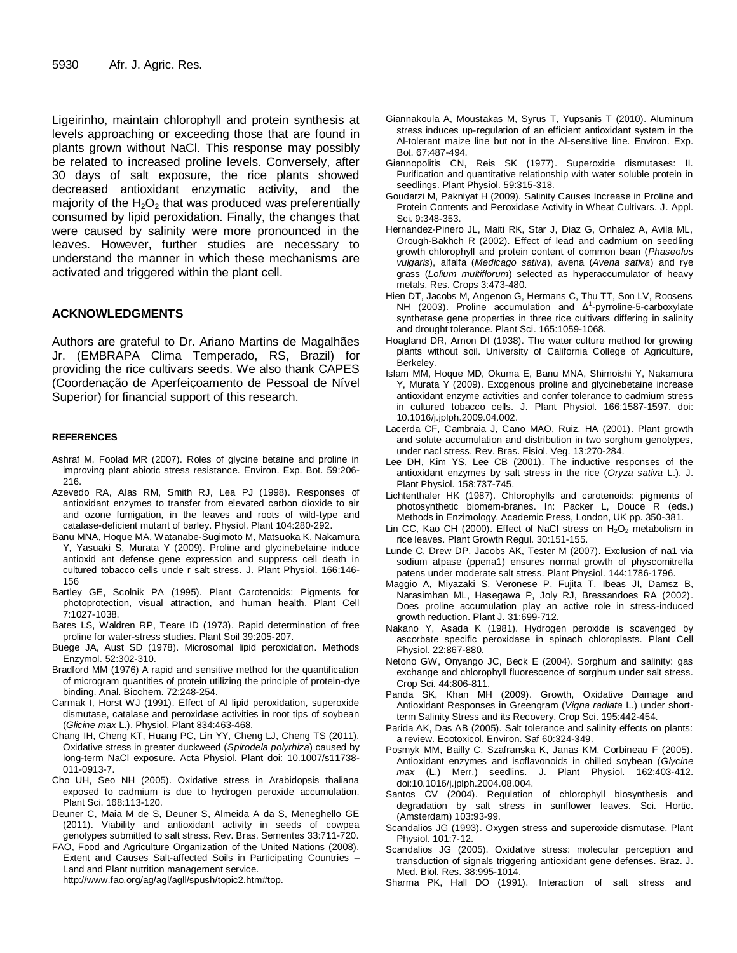Ligeirinho, maintain chlorophyll and protein synthesis at levels approaching or exceeding those that are found in plants grown without NaCl. This response may possibly be related to increased proline levels. Conversely, after 30 days of salt exposure, the rice plants showed decreased antioxidant enzymatic activity, and the majority of the  $H_2O_2$  that was produced was preferentially consumed by lipid peroxidation. Finally, the changes that were caused by salinity were more pronounced in the leaves. However, further studies are necessary to understand the manner in which these mechanisms are activated and triggered within the plant cell.

## **ACKNOWLEDGMENTS**

Authors are grateful to Dr. Ariano Martins de Magalhães Jr. (EMBRAPA Clima Temperado, RS, Brazil) for providing the rice cultivars seeds. We also thank CAPES (Coordenação de Aperfeiçoamento de Pessoal de Nível Superior) for financial support of this research.

#### **REFERENCES**

- Ashraf M, Foolad MR (2007). Roles of glycine betaine and proline in improving plant abiotic stress resistance. Environ. Exp. Bot. 59:206- 216.
- Azevedo RA, Alas RM, Smith RJ, Lea PJ (1998). Responses of antioxidant enzymes to transfer from elevated carbon dioxide to air and ozone fumigation, in the leaves and roots of wild-type and catalase-deficient mutant of barley. Physiol. Plant 104:280-292.
- Banu MNA, Hoque MA, Watanabe-Sugimoto M, Matsuoka K, Nakamura Y, Yasuaki S, Murata Y (2009). Proline and glycinebetaine induce antioxid ant defense gene expression and suppress cell death in cultured tobacco cells unde r salt stress. J. Plant Physiol. 166:146- 156
- Bartley GE, Scolnik PA (1995). Plant Carotenoids: Pigments for photoprotection, visual attraction, and human health. Plant Cell 7:1027-1038.
- Bates LS, Waldren RP, Teare ID (1973). Rapid determination of free proline for water-stress studies. Plant Soil 39:205-207.
- Buege JA, Aust SD (1978). Microsomal lipid peroxidation. Methods Enzymol. 52:302-310.
- Bradford MM (1976) A rapid and sensitive method for the quantification of microgram quantities of protein utilizing the principle of protein-dye binding. Anal. Biochem. 72:248-254.
- Carmak I, Horst WJ (1991). Effect of Al lipid peroxidation, superoxide dismutase, catalase and peroxidase activities in root tips of soybean (*Glicine max* L.). Physiol. Plant 834:463-468.
- [Chang](https://springerlink3.metapress.com/content/?Author=In-Hwa+Chang) IH, Cheng [KT,](https://springerlink3.metapress.com/content/?Author=Kai-Teng+Cheng) Huang [PC,](https://springerlink3.metapress.com/content/?Author=Po-Chuan+Huang) Lin [YY,](https://springerlink3.metapress.com/content/?Author=Yen-Yu+Lin) Cheng [LJ,](https://springerlink3.metapress.com/content/?Author=Lee-Ju+Cheng) Cheng [TS \(2011\).](https://springerlink3.metapress.com/content/?Author=Tai-Sheng+Cheng) [Oxidative stress in greater duckweed \(](https://springerlink3.metapress.com/content/?Author=Tai-Sheng+Cheng)*Spirodela polyrhiza*) caused by [long-term NaCl exposure. Acta Physiol.](https://springerlink3.metapress.com/content/?Author=Tai-Sheng+Cheng) Plant doi: 10.1007/s11738- [011-0913-7.](https://springerlink3.metapress.com/content/?Author=Tai-Sheng+Cheng)
- Cho UH, Seo NH (2005). Oxidative stress in Arabidopsis thaliana exposed to cadmium is due to hydrogen peroxide accumulation. Plant Sci. 168:113-120.
- Deuner C, Maia M de S, Deuner S, Almeida A da S, Meneghello GE (2011). Viability and antioxidant activity in seeds of cowpea genotypes submitted to salt stress. Rev. Bras. Sementes 33:711-720.
- FAO, Food and Agriculture Organization of the United Nations (2008). Extent and Causes Salt-affected Soils in Participating Countries – Land and Plant nutrition management service.

http://www.fao.org/ag/agl/agll/spush/topic2.htm#top.

- Giannakoula A, Moustakas M, Syrus T, Yupsanis T (2010). Aluminum stress induces up-regulation of an efficient antioxidant system in the Al-tolerant maize line but not in the Al-sensitive line. Environ. Exp. Bot. 67:487-494.
- Giannopolitis CN, Reis SK (1977). Superoxide dismutases: II. Purification and quantitative relationship with water soluble protein in seedlings. Plant Physiol. 59:315-318.
- Goudarzi M, Pakniyat H (2009). Salinity Causes Increase in Proline and Protein Contents and Peroxidase Activity in Wheat Cultivars. J. Appl. Sci. 9:348-353.
- Hernandez-Pinero JL, Maiti RK, Star J, Diaz G, Onhalez A, Avila ML, Orough-Bakhch R (2002). Effect of lead and cadmium on seedling growth chlorophyll and protein content of common bean (*Phaseolus vulgaris*), alfalfa (*Medicago sativa*), avena (*Avena sativa*) and rye grass (*Lolium multiflorum*) selected as hyperaccumulator of heavy metals. Res. Crops 3:473-480.
- Hien DT, Jacobs M, Angenon G, Hermans C, Thu TT, Son LV, Roosens NH (2003). Proline accumulation and  $\Delta^1$ -pyrroline-5-carboxylate synthetase gene properties in three rice cultivars differing in salinity and drought tolerance. Plant Sci. 165:1059-1068.
- Hoagland DR, Arnon DI (1938). The water culture method for growing plants without soil. University of California College of Agriculture, Berkeley.
- Islam MM, Hoque MD, Okuma E, Banu MNA, Shimoishi Y, Nakamura Y, Murata Y (2009). Exogenous proline and glycinebetaine increase antioxidant enzyme activities and confer tolerance to cadmium stress in cultured tobacco cells. J. Plant Physiol. 166:1587-1597. doi: 10.1016/j.jplph.2009.04.002.
- Lacerda CF, Cambraia J, Cano MAO, Ruiz, HA (2001). Plant growth and solute accumulation and distribution in two sorghum genotypes, under nacl stress. [Rev. Bras. Fisiol. Veg.](http://www.scielo.br/scielo.php?pid=S0103-31312001000300003&script=sci_abstract) 13:270-284.
- Lee DH, Kim YS, Lee CB (2001). The inductive responses of the antioxidant enzymes by salt stress in the rice (*Oryza sativa* L.). J. Plant Physiol. 158:737-745.
- Lichtenthaler HK (1987). Chlorophylls and carotenoids: pigments of photosynthetic biomem-branes. In: Packer L, Douce R (eds.) Methods in Enzimology. Academic Press, London, UK pp. 350-381.
- Lin CC, Kao CH (2000). Effect of NaCl stress on  $H_2O_2$  metabolism in rice leaves. Plant Growth Regul. 30:151-155.
- Lunde C, Drew DP, Jacobs AK, Tester M (2007). Exclusion of na1 via sodium atpase (ppena1) ensures normal growth of physcomitrella patens under moderate salt stress. Plant Physiol. 144:1786-1796.
- Maggio A, Miyazaki S, Veronese P, Fujita T, Ibeas JI, Damsz B, Narasimhan ML, Hasegawa P, Joly RJ, Bressandoes RA (2002). Does proline accumulation play an active role in stress-induced growth reduction. Plant J. 31:699-712.
- Nakano Y, Asada K (1981). Hydrogen peroxide is scavenged by ascorbate specific peroxidase in spinach chloroplasts. Plant Cell Physiol. 22:867-880.
- Netono GW, Onyango JC, Beck E (2004). Sorghum and salinity: gas exchange and chlorophyll fluorescence of sorghum under salt stress. Crop Sci. 44:806-811.
- Panda SK, Khan MH (2009). Growth, Oxidative Damage and Antioxidant Responses in Greengram (*Vigna radiata* L.) under shortterm Salinity Stress and its Recovery. Crop Sci. 195:442-454.
- Parida AK, Das AB (2005). Salt tolerance and salinity effects on plants: a review. Ecotoxicol. Environ. Saf 60:324-349.
- Posmyk MM, Bailly C, Szafranska K, Janas KM, Corbineau F (2005). Antioxidant enzymes and isoflavonoids in chilled soybean (*Glycine max* (L.) Merr.) seedlins. J. Plant Physiol. 162:403-412. doi:10.1016/j.jplph.2004.08.004.
- Santos CV (2004). Regulation of chlorophyll biosynthesis and degradation by salt stress in sunflower leaves. Sci. Hortic. (Amsterdam) 103:93-99.
- Scandalios JG (1993). Oxygen stress and superoxide dismutase. Plant Physiol. 101:7-12.
- Scandalios JG (2005). Oxidative stress: molecular perception and transduction of signals triggering antioxidant gene defenses. Braz. J. Med. Biol. Res. 38:995-1014.
- Sharma PK, Hall DO (1991). Interaction of salt stress and